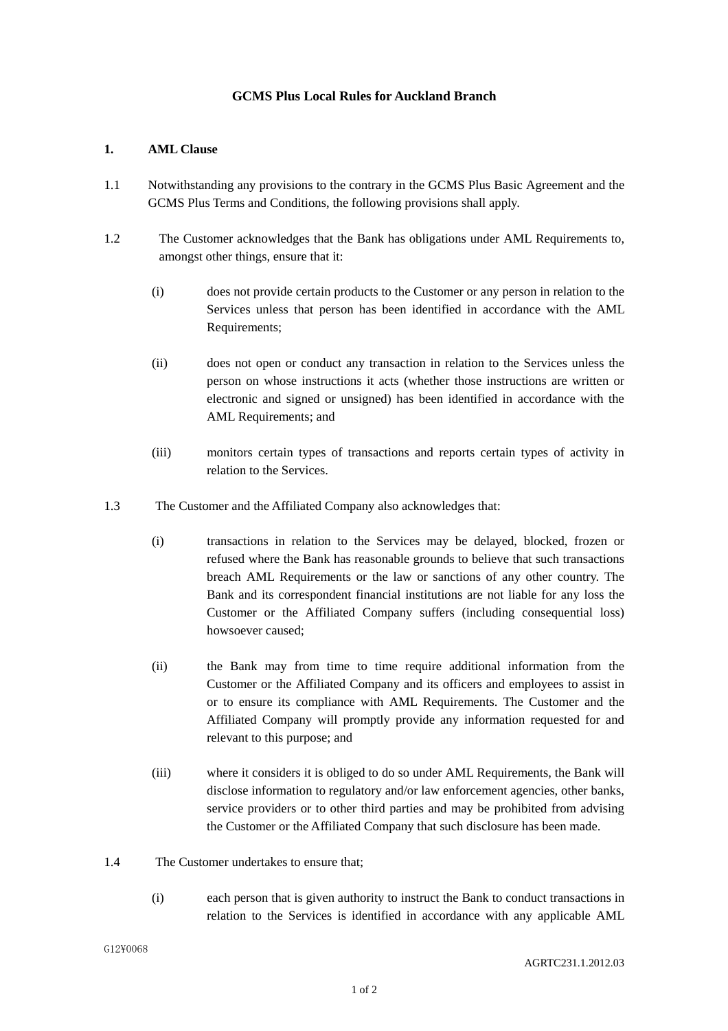## **GCMS Plus Local Rules for Auckland Branch**

## **1. AML Clause**

- 1.1 Notwithstanding any provisions to the contrary in the GCMS Plus Basic Agreement and the GCMS Plus Terms and Conditions, the following provisions shall apply.
- 1.2 The Customer acknowledges that the Bank has obligations under AML Requirements to, amongst other things, ensure that it:
	- (i) does not provide certain products to the Customer or any person in relation to the Services unless that person has been identified in accordance with the AML Requirements;
	- (ii) does not open or conduct any transaction in relation to the Services unless the person on whose instructions it acts (whether those instructions are written or electronic and signed or unsigned) has been identified in accordance with the AML Requirements; and
	- (iii) monitors certain types of transactions and reports certain types of activity in relation to the Services.
- 1.3 The Customer and the Affiliated Company also acknowledges that:
	- (i) transactions in relation to the Services may be delayed, blocked, frozen or refused where the Bank has reasonable grounds to believe that such transactions breach AML Requirements or the law or sanctions of any other country. The Bank and its correspondent financial institutions are not liable for any loss the Customer or the Affiliated Company suffers (including consequential loss) howsoever caused;
	- (ii) the Bank may from time to time require additional information from the Customer or the Affiliated Company and its officers and employees to assist in or to ensure its compliance with AML Requirements. The Customer and the Affiliated Company will promptly provide any information requested for and relevant to this purpose; and
	- (iii) where it considers it is obliged to do so under AML Requirements, the Bank will disclose information to regulatory and/or law enforcement agencies, other banks, service providers or to other third parties and may be prohibited from advising the Customer or the Affiliated Company that such disclosure has been made.
- 1.4 The Customer undertakes to ensure that;
	- (i) each person that is given authority to instruct the Bank to conduct transactions in relation to the Services is identified in accordance with any applicable AML

G12¥0068